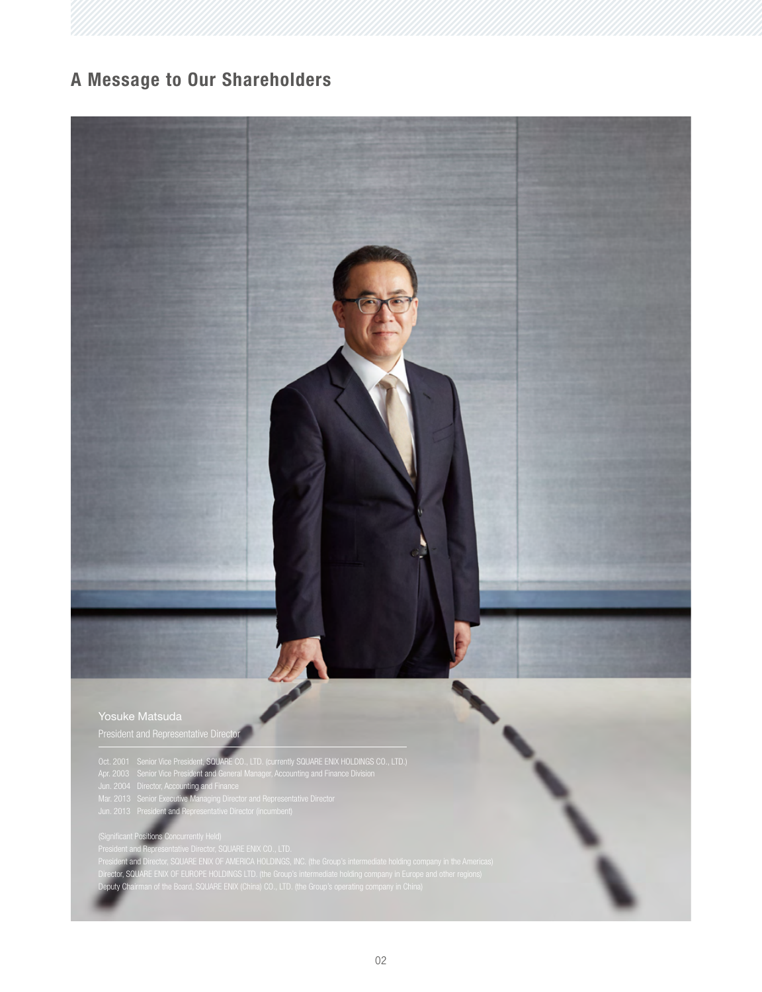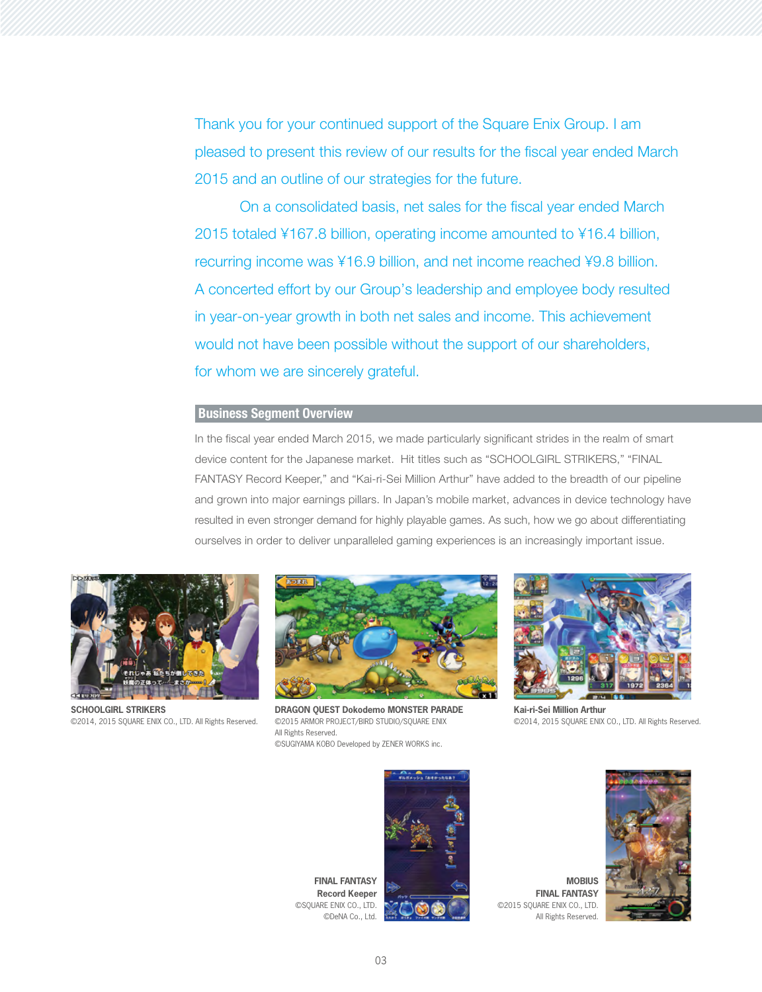Thank you for your continued support of the Square Enix Group. I am pleased to present this review of our results for the fiscal year ended March 2015 and an outline of our strategies for the future.

 On a consolidated basis, net sales for the fiscal year ended March 2015 totaled ¥167.8 billion, operating income amounted to ¥16.4 billion, recurring income was ¥16.9 billion, and net income reached ¥9.8 billion. A concerted effort by our Group's leadership and employee body resulted in year-on-year growth in both net sales and income. This achievement would not have been possible without the support of our shareholders, for whom we are sincerely grateful.

## **Business Segment Overview**

In the fiscal year ended March 2015, we made particularly significant strides in the realm of smart device content for the Japanese market. Hit titles such as "SCHOOLGIRL STRIKERS," "FINAL FANTASY Record Keeper," and "Kai-ri-Sei Million Arthur" have added to the breadth of our pipeline and grown into major earnings pillars. In Japan's mobile market, advances in device technology have resulted in even stronger demand for highly playable games. As such, how we go about differentiating ourselves in order to deliver unparalleled gaming experiences is an increasingly important issue.



**SCHOOLGIRL STRIKERS** ©2014, 2015 SQUARE ENIX CO., LTD. All Rights Reserved.



**DRAGON QUEST Dokodemo MONSTER PARADE** ©2015 ARMOR PROJECT/BIRD STUDIO/SQUARE ENIX All Rights Reserved. ©SUGIYAMA KOBO Developed by ZENER WORKS inc.



**Kai-ri-Sei Million Arthur** ©2014, 2015 SQUARE ENIX CO., LTD. All Rights Reserved.



**FINAL FANTASY** ©2015 SQUARE ENIX CO., LTD. All Rights Reserved.

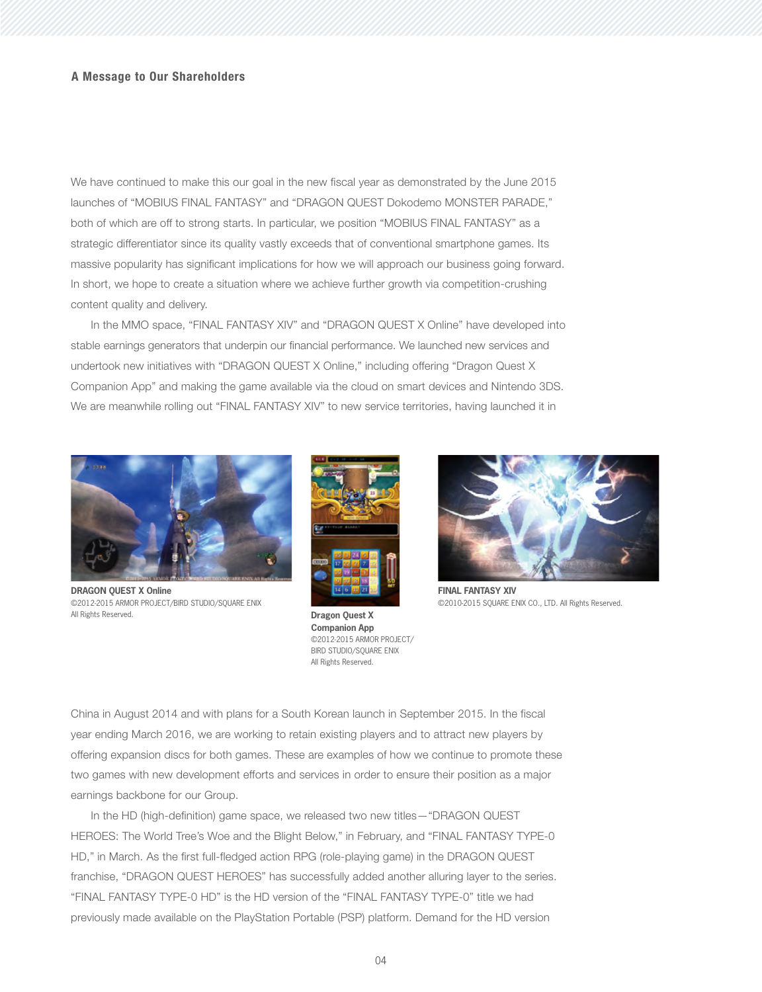We have continued to make this our goal in the new fiscal year as demonstrated by the June 2015 launches of "MOBIUS FINAL FANTASY" and "DRAGON QUEST Dokodemo MONSTER PARADE," both of which are off to strong starts. In particular, we position "MOBIUS FINAL FANTASY" as a strategic differentiator since its quality vastly exceeds that of conventional smartphone games. Its massive popularity has significant implications for how we will approach our business going forward. In short, we hope to create a situation where we achieve further growth via competition-crushing content quality and delivery.

 In the MMO space, "FINAL FANTASY XIV" and "DRAGON QUEST X Online" have developed into stable earnings generators that underpin our financial performance. We launched new services and undertook new initiatives with "DRAGON QUEST X Online," including offering "Dragon Quest X Companion App" and making the game available via the cloud on smart devices and Nintendo 3DS. We are meanwhile rolling out "FINAL FANTASY XIV" to new service territories, having launched it in



**DRAGON QUEST X Online** ©2012-2015 ARMOR PROJECT/BIRD STUDIO/SQUARE ENIX All Rights Reserved.



**Dragon Quest X Companion App** ©2012-2015 ARMOR PROJECT/ BIRD STUDIO/SQUARE ENIX All Rights Reserved.



**FINAL FANTASY XIV** ©2010-2015 SQUARE ENIX CO., LTD. All Rights Reserved.

China in August 2014 and with plans for a South Korean launch in September 2015. In the fiscal year ending March 2016, we are working to retain existing players and to attract new players by offering expansion discs for both games. These are examples of how we continue to promote these two games with new development efforts and services in order to ensure their position as a major earnings backbone for our Group.

 In the HD (high-definition) game space, we released two new titles—"DRAGON QUEST HEROES: The World Tree's Woe and the Blight Below," in February, and "FINAL FANTASY TYPE-0 HD," in March. As the first full-fledged action RPG (role-playing game) in the DRAGON QUEST franchise, "DRAGON QUEST HEROES" has successfully added another alluring layer to the series. "FINAL FANTASY TYPE-0 HD" is the HD version of the "FINAL FANTASY TYPE-0" title we had previously made available on the PlayStation Portable (PSP) platform. Demand for the HD version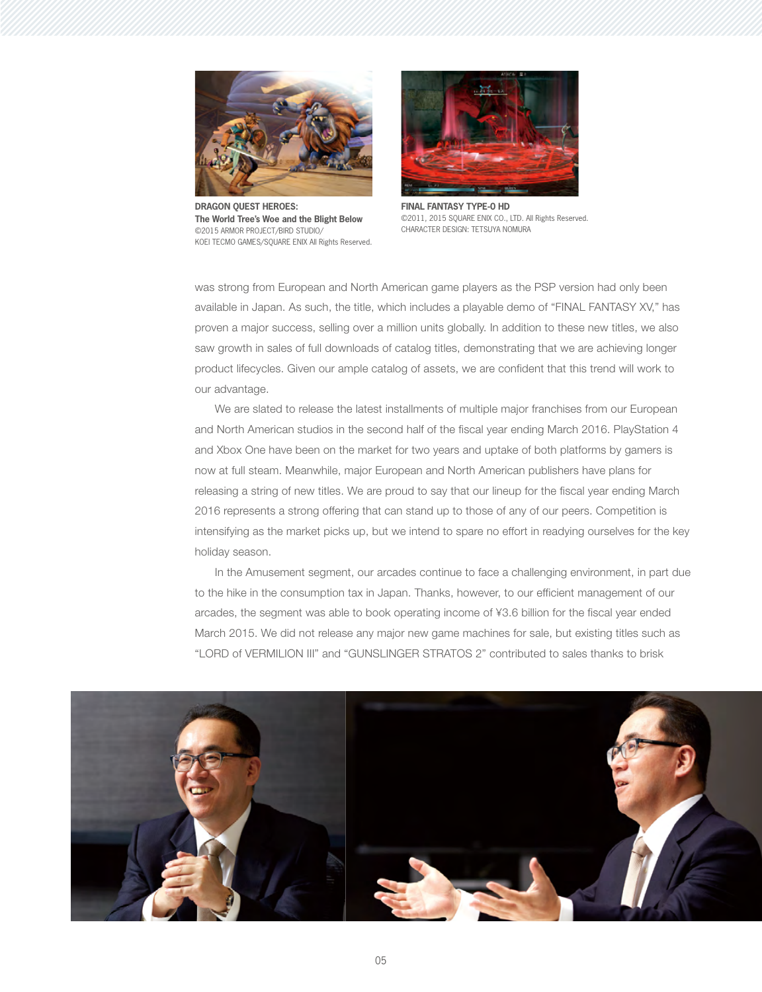

**DRAGON QUEST HEROES: The World Tree's Woe and the Blight Below** ©2015 ARMOR PROJECT/BIRD STUDIO/ KOEI TECMO GAMES/SOUARE ENIX All Rights Reserved.



**FINAL FANTASY TYPE-0 HD** ©2011, 2015 SQUARE ENIX CO., LTD. All Rights Reserved. CHARACTER DESIGN: TETSUYA NOMURA

was strong from European and North American game players as the PSP version had only been available in Japan. As such, the title, which includes a playable demo of "FINAL FANTASY XV," has proven a major success, selling over a million units globally. In addition to these new titles, we also saw growth in sales of full downloads of catalog titles, demonstrating that we are achieving longer product lifecycles. Given our ample catalog of assets, we are confident that this trend will work to our advantage.

 We are slated to release the latest installments of multiple major franchises from our European and North American studios in the second half of the fiscal year ending March 2016. PlayStation 4 and Xbox One have been on the market for two years and uptake of both platforms by gamers is now at full steam. Meanwhile, major European and North American publishers have plans for releasing a string of new titles. We are proud to say that our lineup for the fiscal year ending March 2016 represents a strong offering that can stand up to those of any of our peers. Competition is intensifying as the market picks up, but we intend to spare no effort in readying ourselves for the key holiday season.

 In the Amusement segment, our arcades continue to face a challenging environment, in part due to the hike in the consumption tax in Japan. Thanks, however, to our efficient management of our arcades, the segment was able to book operating income of ¥3.6 billion for the fiscal year ended March 2015. We did not release any major new game machines for sale, but existing titles such as "LORD of VERMILION III" and "GUNSLINGER STRATOS 2" contributed to sales thanks to brisk

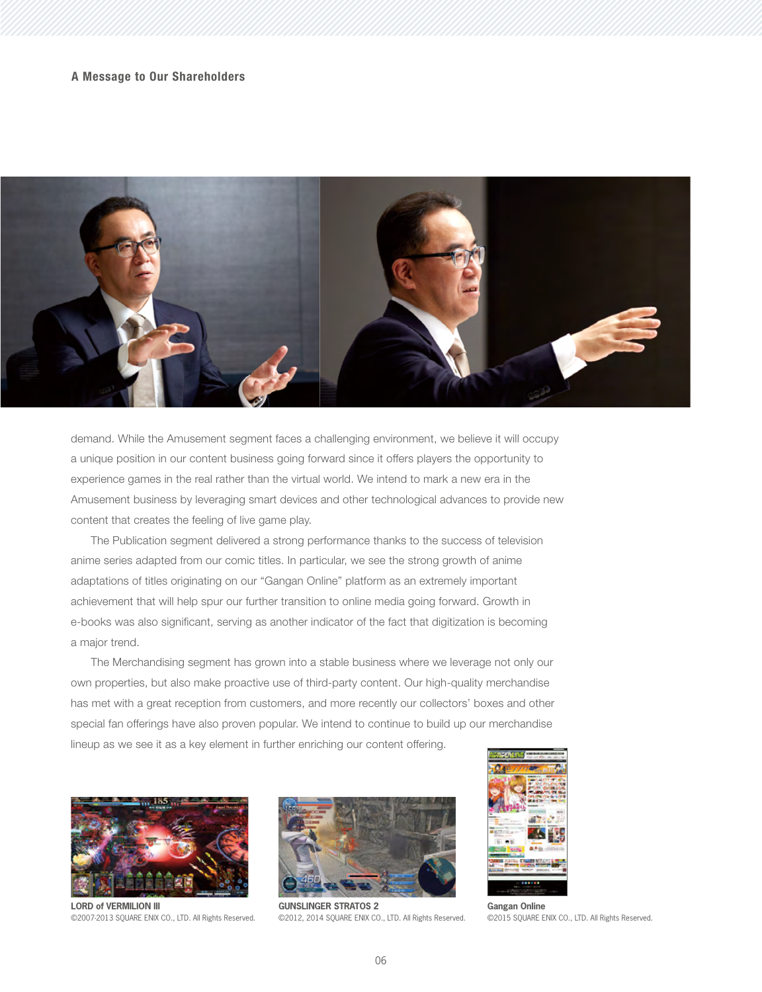

demand. While the Amusement segment faces a challenging environment, we believe it will occupy a unique position in our content business going forward since it offers players the opportunity to experience games in the real rather than the virtual world. We intend to mark a new era in the Amusement business by leveraging smart devices and other technological advances to provide new content that creates the feeling of live game play.

 The Publication segment delivered a strong performance thanks to the success of television anime series adapted from our comic titles. In particular, we see the strong growth of anime adaptations of titles originating on our "Gangan Online" platform as an extremely important achievement that will help spur our further transition to online media going forward. Growth in e-books was also significant, serving as another indicator of the fact that digitization is becoming a major trend.

 The Merchandising segment has grown into a stable business where we leverage not only our own properties, but also make proactive use of third-party content. Our high-quality merchandise has met with a great reception from customers, and more recently our collectors' boxes and other special fan offerings have also proven popular. We intend to continue to build up our merchandise lineup as we see it as a key element in further enriching our content offering.



**LORD of VERMILION III** ©2007-2013 SQUARE ENIX CO., LTD. All Rights Reserved.



**GUNSLINGER STRATOS 2** ©2012, 2014 SQUARE ENIX CO., LTD. All Rights Reserved.



**Gangan Online** ©2015 SQUARE ENIX CO., LTD. All Rights Reserved.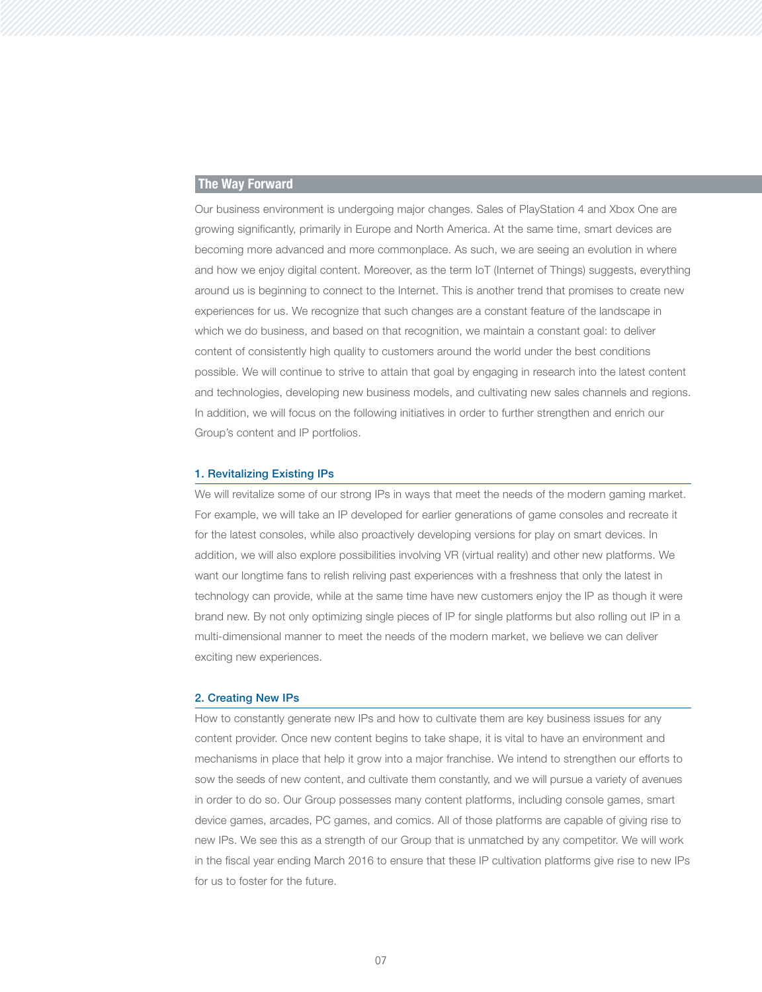# **The Way Forward**

Our business environment is undergoing major changes. Sales of PlayStation 4 and Xbox One are growing significantly, primarily in Europe and North America. At the same time, smart devices are becoming more advanced and more commonplace. As such, we are seeing an evolution in where and how we enjoy digital content. Moreover, as the term IoT (Internet of Things) suggests, everything around us is beginning to connect to the Internet. This is another trend that promises to create new experiences for us. We recognize that such changes are a constant feature of the landscape in which we do business, and based on that recognition, we maintain a constant goal: to deliver content of consistently high quality to customers around the world under the best conditions possible. We will continue to strive to attain that goal by engaging in research into the latest content and technologies, developing new business models, and cultivating new sales channels and regions. In addition, we will focus on the following initiatives in order to further strengthen and enrich our Group's content and IP portfolios.

#### **1. Revitalizing Existing IPs**

We will revitalize some of our strong IPs in ways that meet the needs of the modern gaming market. For example, we will take an IP developed for earlier generations of game consoles and recreate it for the latest consoles, while also proactively developing versions for play on smart devices. In addition, we will also explore possibilities involving VR (virtual reality) and other new platforms. We want our longtime fans to relish reliving past experiences with a freshness that only the latest in technology can provide, while at the same time have new customers enjoy the IP as though it were brand new. By not only optimizing single pieces of IP for single platforms but also rolling out IP in a multi-dimensional manner to meet the needs of the modern market, we believe we can deliver exciting new experiences.

#### **2. Creating New IPs**

How to constantly generate new IPs and how to cultivate them are key business issues for any content provider. Once new content begins to take shape, it is vital to have an environment and mechanisms in place that help it grow into a major franchise. We intend to strengthen our efforts to sow the seeds of new content, and cultivate them constantly, and we will pursue a variety of avenues in order to do so. Our Group possesses many content platforms, including console games, smart device games, arcades, PC games, and comics. All of those platforms are capable of giving rise to new IPs. We see this as a strength of our Group that is unmatched by any competitor. We will work in the fiscal year ending March 2016 to ensure that these IP cultivation platforms give rise to new IPs for us to foster for the future.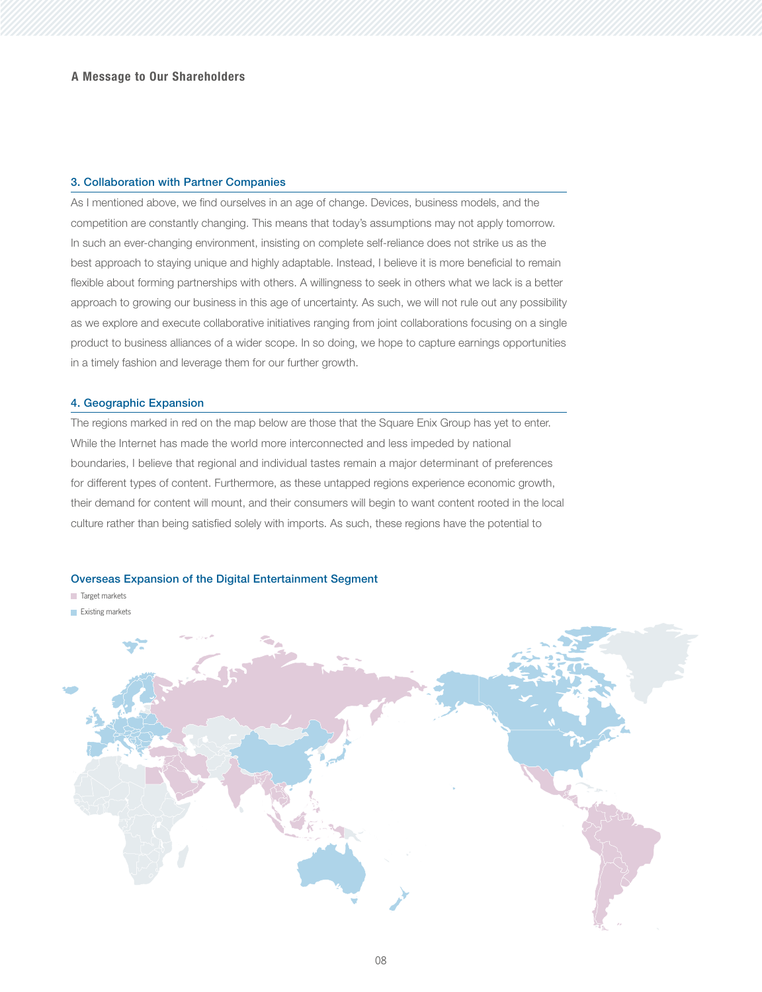### **3. Collaboration with Partner Companies**

As I mentioned above, we find ourselves in an age of change. Devices, business models, and the competition are constantly changing. This means that today's assumptions may not apply tomorrow. In such an ever-changing environment, insisting on complete self-reliance does not strike us as the best approach to staying unique and highly adaptable. Instead, I believe it is more beneficial to remain flexible about forming partnerships with others. A willingness to seek in others what we lack is a better approach to growing our business in this age of uncertainty. As such, we will not rule out any possibility as we explore and execute collaborative initiatives ranging from joint collaborations focusing on a single product to business alliances of a wider scope. In so doing, we hope to capture earnings opportunities in a timely fashion and leverage them for our further growth.

#### **4. Geographic Expansion**

The regions marked in red on the map below are those that the Square Enix Group has yet to enter. While the Internet has made the world more interconnected and less impeded by national boundaries, I believe that regional and individual tastes remain a major determinant of preferences for different types of content. Furthermore, as these untapped regions experience economic growth, their demand for content will mount, and their consumers will begin to want content rooted in the local culture rather than being satisfied solely with imports. As such, these regions have the potential to

#### **Overseas Expansion of the Digital Entertainment Segment**

- **Target markets**
- Existing markets

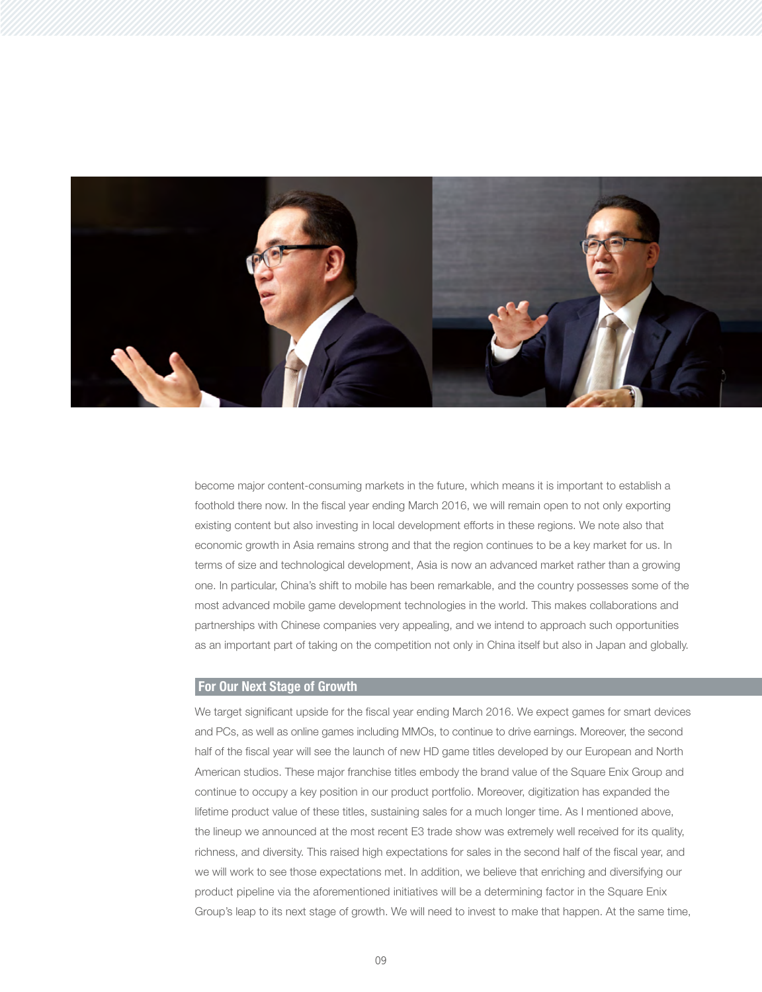

become major content-consuming markets in the future, which means it is important to establish a foothold there now. In the fiscal year ending March 2016, we will remain open to not only exporting existing content but also investing in local development efforts in these regions. We note also that economic growth in Asia remains strong and that the region continues to be a key market for us. In terms of size and technological development, Asia is now an advanced market rather than a growing one. In particular, China's shift to mobile has been remarkable, and the country possesses some of the most advanced mobile game development technologies in the world. This makes collaborations and partnerships with Chinese companies very appealing, and we intend to approach such opportunities as an important part of taking on the competition not only in China itself but also in Japan and globally.

# **For Our Next Stage of Growth**

We target significant upside for the fiscal year ending March 2016. We expect games for smart devices and PCs, as well as online games including MMOs, to continue to drive earnings. Moreover, the second half of the fiscal year will see the launch of new HD game titles developed by our European and North American studios. These major franchise titles embody the brand value of the Square Enix Group and continue to occupy a key position in our product portfolio. Moreover, digitization has expanded the lifetime product value of these titles, sustaining sales for a much longer time. As I mentioned above, the lineup we announced at the most recent E3 trade show was extremely well received for its quality, richness, and diversity. This raised high expectations for sales in the second half of the fiscal year, and we will work to see those expectations met. In addition, we believe that enriching and diversifying our product pipeline via the aforementioned initiatives will be a determining factor in the Square Enix Group's leap to its next stage of growth. We will need to invest to make that happen. At the same time,